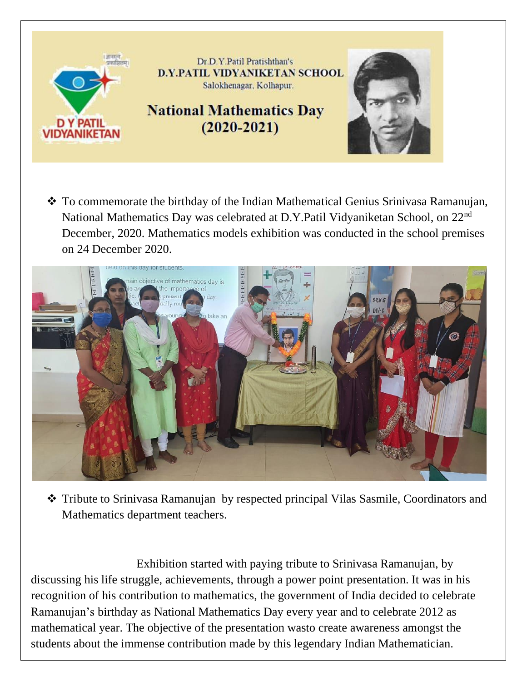

❖ To commemorate the birthday of the Indian Mathematical Genius Srinivasa Ramanujan, National Mathematics Day was celebrated at D.Y.Patil Vidyaniketan School, on 22nd December, 2020. Mathematics models exhibition was conducted in the school premises on 24 December 2020.



❖ Tribute to Srinivasa Ramanujan by respected principal Vilas Sasmile, Coordinators and Mathematics department teachers.

 Exhibition started with paying tribute to Srinivasa Ramanujan, by discussing his life struggle, achievements, through a power point presentation. It was in his recognition of his contribution to mathematics, the government of India decided to celebrate Ramanujan's birthday as National Mathematics Day every year and to celebrate 2012 as mathematical year. The objective of the presentation wasto create awareness amongst the students about the immense contribution made by this legendary Indian Mathematician.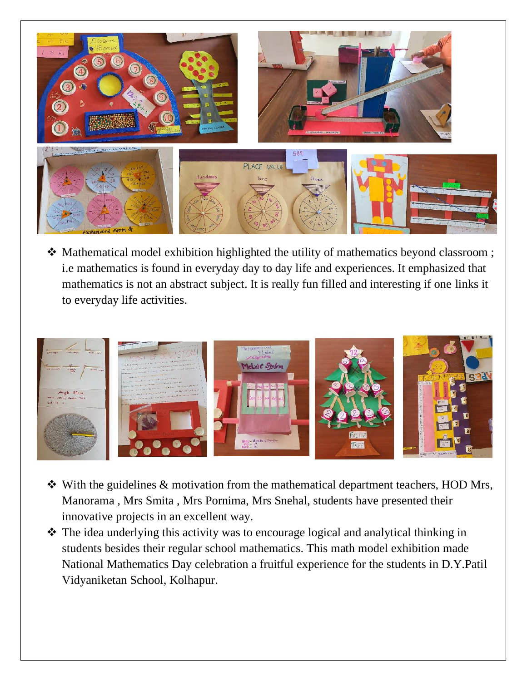

❖ Mathematical model exhibition highlighted the utility of mathematics beyond classroom ; i.e mathematics is found in everyday day to day life and experiences. It emphasized that mathematics is not an abstract subject. It is really fun filled and interesting if one links it to everyday life activities.



- ❖ With the guidelines & motivation from the mathematical department teachers, HOD Mrs, Manorama , Mrs Smita , Mrs Pornima, Mrs Snehal, students have presented their innovative projects in an excellent way.
- ❖ The idea underlying this activity was to encourage logical and analytical thinking in students besides their regular school mathematics. This math model exhibition made National Mathematics Day celebration a fruitful experience for the students in D.Y.Patil Vidyaniketan School, Kolhapur.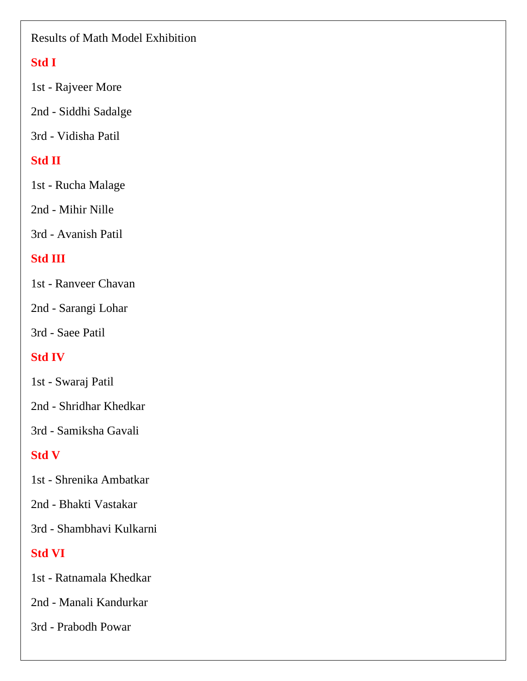#### Results of Math Model Exhibition

## **Std I**

1st - Rajveer More

2nd - Siddhi Sadalge

3rd - Vidisha Patil

## **Std II**

1st - Rucha Malage

2nd - Mihir Nille

3rd - Avanish Patil

## **Std III**

1st - Ranveer Chavan

2nd - Sarangi Lohar

3rd - Saee Patil

## **Std IV**

1st - Swaraj Patil

2nd - Shridhar Khedkar

3rd - Samiksha Gavali

# **Std V**

1st - Shrenika Ambatkar

2nd - Bhakti Vastakar

3rd - Shambhavi Kulkarni

# **Std VI**

1st - Ratnamala Khedkar

2nd - Manali Kandurkar

3rd - Prabodh Powar